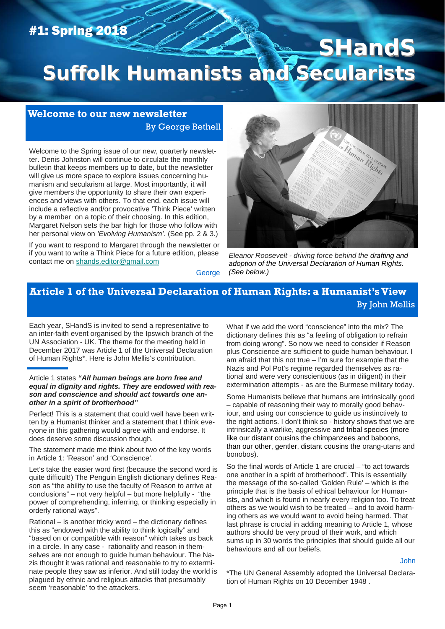# #1: Spring 2018

# **SHandS Suffolk Humanists and Secularists Suffolk Humanists and Secularists**

### **Welcome to our new newsletter**  By George Bethell

Welcome to the Spring issue of our new, quarterly newsletter. Denis Johnston will continue to circulate the monthly bulletin that keeps members up to date, but the newsletter will give us more space to explore issues concerning humanism and secularism at large. Most importantly, it will give members the opportunity to share their own experiences and views with others. To that end, each issue will include a reflective and/or provocative 'Think Piece' written by a member on a topic of their choosing. In this edition, Margaret Nelson sets the bar high for those who follow with her personal view on *'Evolving Humanism'*. (See pp. 2 & 3.)

If you want to respond to Margaret through the newsletter or if you want to write a Think Piece for a future edition, please contact me on shands.editor@gmail.com



*Eleanor Roosevelt - driving force behind the drafting and adoption of the Universal Declaration of Human Rights. (See below.)* 

**George** 

### **Article 1 of the Universal Declaration of Human Rights: a Humanist's View**  By John Mellis

Each year, SHandS is invited to send a representative to an inter-faith event organised by the Ipswich branch of the UN Association - UK. The theme for the meeting held in December 2017 was Article 1 of the Universal Declaration of Human Rights\*. Here is John Mellis's contribution.

#### Article 1 states *"All human beings are born free and equal in dignity and rights. They are endowed with reason and conscience and should act towards one another in a spirit of brotherhood"*

Perfect! This is a statement that could well have been written by a Humanist thinker and a statement that I think everyone in this gathering would agree with and endorse. It does deserve some discussion though.

The statement made me think about two of the key words in Article 1: 'Reason' and 'Conscience'.

Let's take the easier word first (because the second word is quite difficult!) The Penguin English dictionary defines Reason as "the ability to use the faculty of Reason to arrive at conclusions" – not very helpful – but more helpfully - "the power of comprehending, inferring, or thinking especially in orderly rational ways".

Rational – is another tricky word – the dictionary defines this as "endowed with the ability to think logically" and "based on or compatible with reason" which takes us back in a circle. In any case - rationality and reason in themselves are not enough to guide human behaviour. The Nazis thought it was rational and reasonable to try to exterminate people they saw as inferior. And still today the world is plagued by ethnic and religious attacks that presumably seem 'reasonable' to the attackers.

What if we add the word "conscience" into the mix? The dictionary defines this as "a feeling of obligation to refrain from doing wrong". So now we need to consider if Reason plus Conscience are sufficient to guide human behaviour. I am afraid that this not true – I'm sure for example that the Nazis and Pol Pot's regime regarded themselves as rational and were very conscientious (as in diligent) in their extermination attempts - as are the Burmese military today.

Some Humanists believe that humans are intrinsically good – capable of reasoning their way to morally good behaviour, and using our conscience to guide us instinctively to the right actions. I don't think so - history shows that we are intrinsically a warlike, aggressive and tribal species (more like our distant cousins the chimpanzees and baboons, than our other, gentler, distant cousins the orang-utans and bonobos).

So the final words of Article 1 are crucial – "to act towards one another in a spirit of brotherhood". This is essentially the message of the so-called 'Golden Rule' – which is the principle that is the basis of ethical behaviour for Humanists, and which is found in nearly every religion too. To treat others as we would wish to be treated – and to avoid harming others as we would want to avoid being harmed. That last phrase is crucial in adding meaning to Article 1, whose authors should be very proud of their work, and which sums up in 30 words the principles that should guide all our behaviours and all our beliefs.

John

\*The UN General Assembly adopted the Universal Declaration of Human Rights on 10 December 1948 .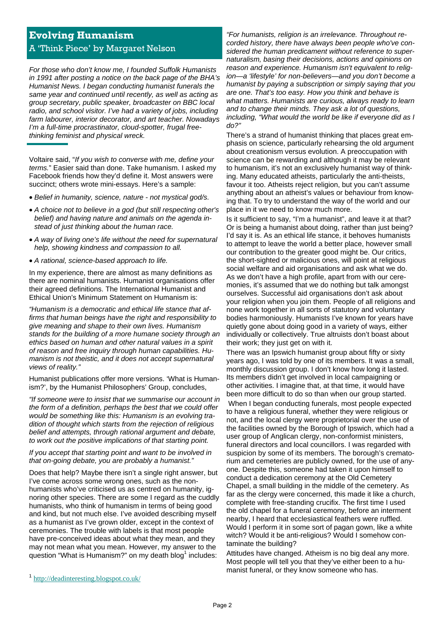## **Evolving Humanism**  A 'Think Piece' by Margaret Nelson

*For those who don't know me, I founded Suffolk Humanists in 1991 after posting a notice on the back page of the BHA's Humanist News. I began conducting humanist funerals the same year and continued until recently, as well as acting as group secretary, public speaker, broadcaster on BBC local radio, and school visitor. I've had a variety of jobs, including farm labourer, interior decorator, and art teacher. Nowadays I'm a full-time procrastinator, cloud-spotter, frugal freethinking feminist and physical wreck.* 

Voltaire said, "*If you wish to converse with me, define your terms.*" Easier said than done. Take humanism. I asked my Facebook friends how they'd define it. Most answers were succinct; others wrote mini-essays. Here's a sample:

- *Belief in humanity, science, nature not mystical god/s.*
- *A choice not to believe in a god (but still respecting other's belief) and having nature and animals on the agenda instead of just thinking about the human race.*
- *A way of living one's life without the need for supernatural help, showing kindness and compassion to all.*
- *A rational, science-based approach to life.*

In my experience, there are almost as many definitions as there are nominal humanists. Humanist organisations offer their agreed definitions. The International Humanist and Ethical Union's Minimum Statement on Humanism is:

*"Humanism is a democratic and ethical life stance that affirms that human beings have the right and responsibility to give meaning and shape to their own lives. Humanism stands for the building of a more humane society through an ethics based on human and other natural values in a spirit of reason and free inquiry through human capabilities. Humanism is not theistic, and it does not accept supernatural views of reality."* 

Humanist publications offer more versions. 'What is Humanism?', by the Humanist Philosophers' Group, concludes,

*"If someone were to insist that we summarise our account in the form of a definition, perhaps the best that we could offer would be something like this: Humanism is an evolving tradition of thought which starts from the rejection of religious belief and attempts, through rational argument and debate, to work out the positive implications of that starting point.* 

#### *If you accept that starting point and want to be involved in that on-going debate, you are probably a humanist."*

Does that help? Maybe there isn't a single right answer, but I've come across some wrong ones, such as the nonhumanists who've criticised us as centred on humanity, ignoring other species. There are some I regard as the cuddly humanists, who think of humanism in terms of being good and kind, but not much else. I've avoided describing myself as a humanist as I've grown older, except in the context of ceremonies. The trouble with labels is that most people have pre-conceived ideas about what they mean, and they may not mean what you mean. However, my answer to the question "What is Humanism?" on my death blog1 includes:

*"For humanists, religion is an irrelevance. Throughout recorded history, there have always been people who've considered the human predicament without reference to supernaturalism, basing their decisions, actions and opinions on reason and experience. Humanism isn't equivalent to religion—a 'lifestyle' for non-believers—and you don't become a humanist by paying a subscription or simply saying that you are one. That's too easy. How you think and behave is what matters. Humanists are curious, always ready to learn and to change their minds. They ask a lot of questions, including, "What would the world be like if everyone did as I do?"* 

There's a strand of humanist thinking that places great emphasis on science, particularly rehearsing the old argument about creationism versus evolution. A preoccupation with science can be rewarding and although it may be relevant to humanism, it's not an exclusively humanist way of thinking. Many educated atheists, particularly the anti-theists, favour it too. Atheists reject religion, but you can't assume anything about an atheist's values or behaviour from knowing that. To try to understand the way of the world and our place in it we need to know much more.

Is it sufficient to say, "I'm a humanist", and leave it at that? Or is being a humanist about doing, rather than just being? I'd say it is. As an ethical life stance, it behoves humanists to attempt to leave the world a better place, however small our contribution to the greater good might be. Our critics, the short-sighted or malicious ones, will point at religious social welfare and aid organisations and ask what we do. As we don't have a high profile, apart from with our ceremonies, it's assumed that we do nothing but talk amongst ourselves. Successful aid organisations don't ask about your religion when you join them. People of all religions and none work together in all sorts of statutory and voluntary bodies harmoniously. Humanists I've known for years have quietly gone about doing good in a variety of ways, either individually or collectively. True altruists don't boast about their work; they just get on with it.

There was an Ipswich humanist group about fifty or sixty years ago, I was told by one of its members. It was a small, monthly discussion group. I don't know how long it lasted. Its members didn't get involved in local campaigning or other activities. I imagine that, at that time, it would have been more difficult to do so than when our group started.

 When I began conducting funerals, most people expected to have a religious funeral, whether they were religious or not, and the local clergy were proprietorial over the use of the facilities owned by the Borough of Ipswich, which had a user group of Anglican clergy, non-conformist ministers, funeral directors and local councillors. I was regarded with suspicion by some of its members. The borough's crematorium and cemeteries are publicly owned, for the use of anyone. Despite this, someone had taken it upon himself to conduct a dedication ceremony at the Old Cemetery Chapel, a small building in the middle of the cemetery. As far as the clergy were concerned, this made it like a church, complete with free-standing crucifix. The first time I used the old chapel for a funeral ceremony, before an interment nearby, I heard that ecclesiastical feathers were ruffled. Would I perform it in some sort of pagan gown, like a white witch? Would it be anti-religious? Would I somehow contaminate the building?

Attitudes have changed. Atheism is no big deal any more. Most people will tell you that they've either been to a humanist funeral, or they know someone who has.

<sup>1</sup> http://deadinteresting.blogspot.co.uk/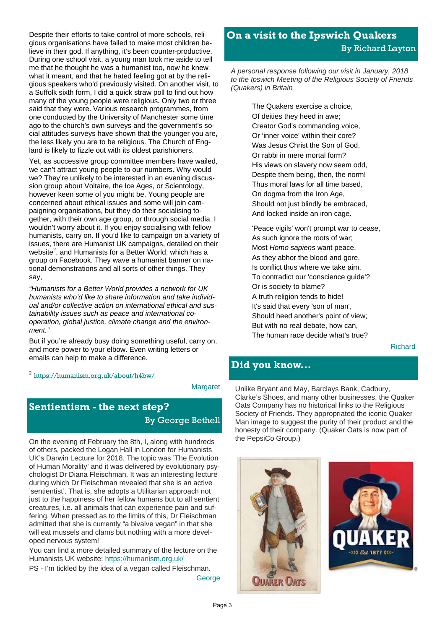Despite their efforts to take control of more schools, religious organisations have failed to make most children believe in their god. If anything, it's been counter-productive. During one school visit, a young man took me aside to tell me that he thought he was a humanist too, now he knew what it meant, and that he hated feeling got at by the religious speakers who'd previously visited. On another visit, to a Suffolk sixth form, I did a quick straw poll to find out how many of the young people were religious. Only two or three said that they were. Various research programmes, from one conducted by the University of Manchester some time ago to the church's own surveys and the government's social attitudes surveys have shown that the younger you are, the less likely you are to be religious. The Church of England is likely to fizzle out with its oldest parishioners.

Yet, as successive group committee members have wailed, we can't attract young people to our numbers. Why would we? They're unlikely to be interested in an evening discussion group about Voltaire, the Ice Ages, or Scientology, however keen some of you might be. Young people are concerned about ethical issues and some will join campaigning organisations, but they do their socialising together, with their own age group, or through social media. I wouldn't worry about it. If you enjoy socialising with fellow humanists, carry on. If you'd like to campaign on a variety of issues, there are Humanist UK campaigns, detailed on their website<sup>2</sup>, and Humanists for a Better World, which has a group on Facebook. They wave a humanist banner on national demonstrations and all sorts of other things. They say,

*"Humanists for a Better World provides a network for UK humanists who'd like to share information and take individual and/or collective action on international ethical and sustainability issues such as peace and international cooperation, global justice, climate change and the environment."* 

But if you're already busy doing something useful, carry on, and more power to your elbow. Even writing letters or emails can help to make a difference.

<sup>2</sup> https://humanism.org.uk/about/h4bw/

Margaret

# **Sentientism - the next step?**  By George Bethell

On the evening of February the 8th, I, along with hundreds of others, packed the Logan Hall in London for Humanists UK's Darwin Lecture for 2018. The topic was 'The Evolution of Human Morality' and it was delivered by evolutionary psychologist Dr Diana Fleischman. It was an interesting lecture during which Dr Fleischman revealed that she is an active 'sentientist'. That is, she adopts a Utilitarian approach not just to the happiness of her fellow humans but to all sentient creatures, i.e. all animals that can experience pain and suffering. When pressed as to the limits of this, Dr Fleischman admitted that she is currently "a bivalve vegan" in that she will eat mussels and clams but nothing with a more developed nervous system!

You can find a more detailed summary of the lecture on the Humanists UK website: https://humanism.org.uk/

PS - I'm tickled by the idea of a vegan called Fleischman.

George

# **On a visit to the Ipswich Quakers**  By Richard Layton

*A personal response following our visit in January, 2018 to the Ipswich Meeting of the Religious Society of Friends (Quakers) in Britain*

> The Quakers exercise a choice, Of deities they heed in awe; Creator God's commanding voice, Or 'inner voice' within their core? Was Jesus Christ the Son of God, Or rabbi in mere mortal form? His views on slavery now seem odd, Despite them being, then, the norm! Thus moral laws for all time based, On dogma from the Iron Age, Should not just blindly be embraced, And locked inside an iron cage.

'Peace vigils' won't prompt war to cease, As such ignore the roots of war; Most *Homo sapiens* want peace, As they abhor the blood and gore. Is conflict thus where we take aim, To contradict our 'conscience guide'? Or is society to blame? A truth religion tends to hide! It's said that every 'son of man', Should heed another's point of view; But with no real debate, how can, The human race decide what's true?

Richard

### **Did you know...**

Unlike Bryant and May, Barclays Bank, Cadbury, Clarke's Shoes, and many other businesses, the Quaker Oats Company has no historical links to the Religious Society of Friends. They appropriated the iconic Quaker Man image to suggest the purity of their product and the honesty of their company. (Quaker Oats is now part of the PepsiCo Group.)



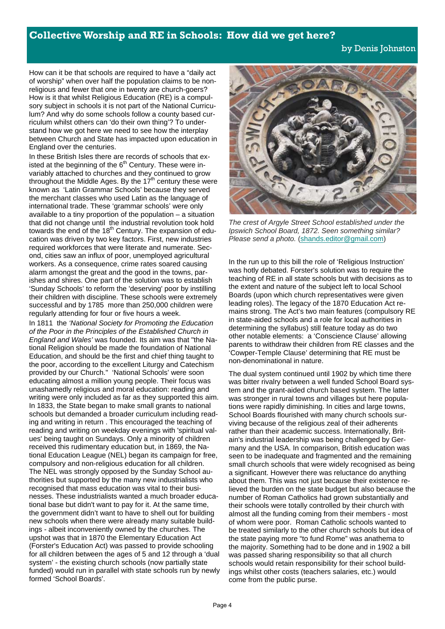#### **Collective Worship and RE in Schools: How did we get here?**

#### by Denis Johnston

How can it be that schools are required to have a "daily act of worship" when over half the population claims to be nonreligious and fewer that one in twenty are church-goers? How is it that whilst Religious Education (RE) is a compulsory subject in schools it is not part of the National Curriculum? And why do some schools follow a county based curriculum whilst others can 'do their own thing'? To understand how we got here we need to see how the interplay between Church and State has impacted upon education in England over the centuries.

In these British Isles there are records of schools that existed at the beginning of the  $6<sup>th</sup>$  Century. These were invariably attached to churches and they continued to grow throughout the Middle Ages. By the  $17<sup>th</sup>$  century these were known as 'Latin Grammar Schools' because they served the merchant classes who used Latin as the language of international trade. These 'grammar schools' were only available to a tiny proportion of the population – a situation that did not change until the industrial revolution took hold towards the end of the 18<sup>th</sup> Century. The expansion of education was driven by two key factors. First, new industries required workforces that were literate and numerate. Second, cities saw an influx of poor, unemployed agricultural workers. As a consequence, crime rates soared causing alarm amongst the great and the good in the towns, parishes and shires. One part of the solution was to establish 'Sunday Schools' to reform the 'deserving' poor by instilling their children with discipline. These schools were extremely successful and by 1785 more than 250,000 children were regularly attending for four or five hours a week.

In 1811 the *'National Society for Promoting the Education of the Poor in the Principles of the Established Church in England and Wales'* was founded. Its aim was that "the National Religion should be made the foundation of National Education, and should be the first and chief thing taught to the poor, according to the excellent Liturgy and Catechism provided by our Church." 'National Schools' were soon educating almost a million young people. Their focus was unashamedly religious and moral education: reading and writing were only included as far as they supported this aim. In 1833, the State began to make small grants to national schools but demanded a broader curriculum including reading and writing in return . This encouraged the teaching of reading and writing on weekday evenings with 'spiritual values' being taught on Sundays. Only a minority of children received this rudimentary education but, in 1869, the National Education League (NEL) began its campaign for free, compulsory and non-religious education for all children. The NEL was strongly opposed by the Sunday School authorities but supported by the many new industrialists who recognised that mass education was vital to their businesses. These industrialists wanted a much broader educational base but didn't want to pay for it. At the same time, the government didn't want to have to shell out for building new schools when there were already many suitable buildings - albeit inconveniently owned by the churches. The upshot was that in 1870 the Elementary Education Act (Forster's Education Act) was passed to provide schooling for all children between the ages of 5 and 12 through a 'dual system' - the existing church schools (now partially state funded) would run in parallel with state schools run by newly formed 'School Boards'.



*The crest of Argyle Street School established under the Ipswich School Board, 1872. Seen something similar? Please send a photo.* (shands.editor@gmail.com)

In the run up to this bill the role of 'Religious Instruction' was hotly debated. Forster's solution was to require the teaching of RE in all state schools but with decisions as to the extent and nature of the subject left to local School Boards (upon which church representatives were given leading roles). The legacy of the 1870 Education Act remains strong. The Act's two main features (compulsory RE in state-aided schools and a role for local authorities in determining the syllabus) still feature today as do two other notable elements: a 'Conscience Clause' allowing parents to withdraw their children from RE classes and the 'Cowper-Temple Clause' determining that RE must be non-denominational in nature.

The dual system continued until 1902 by which time there was bitter rivalry between a well funded School Board system and the grant-aided church based system. The latter was stronger in rural towns and villages but here populations were rapidly diminishing. In cities and large towns, School Boards flourished with many church schools surviving because of the religious zeal of their adherents rather than their academic success. Internationally, Britain's industrial leadership was being challenged by Germany and the USA. In comparison, British education was seen to be inadequate and fragmented and the remaining small church schools that were widely recognised as being a significant. However there was reluctance do anything about them. This was not just because their existence relieved the burden on the state budget but also because the number of Roman Catholics had grown substantially and their schools were totally controlled by their church with almost all the funding coming from their members - most of whom were poor. Roman Catholic schools wanted to be treated similarly to the other church schools but idea of the state paying more "to fund Rome" was anathema to the majority. Something had to be done and in 1902 a bill was passed sharing responsibility so that all church schools would retain responsibility for their school buildings whilst other costs (teachers salaries, etc.) would come from the public purse.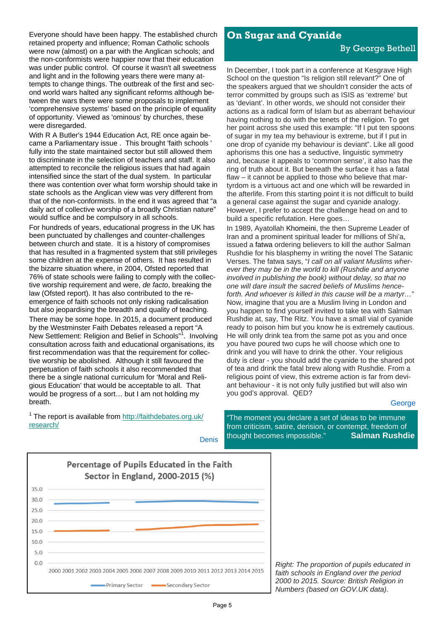Everyone should have been happy. The established church retained property and influence; Roman Catholic schools were now (almost) on a par with the Anglican schools; and the non-conformists were happier now that their education was under public control. Of course it wasn't all sweetness and light and in the following years there were many attempts to change things. The outbreak of the first and second world wars halted any significant reforms although between the wars there were some proposals to implement 'comprehensive systems' based on the principle of equality of opportunity. Viewed as 'ominous' by churches, these were disregarded.

With R A Butler's 1944 Education Act, RE once again became a Parliamentary issue . This brought 'faith schools ' fully into the state maintained sector but still allowed them to discriminate in the selection of teachers and staff. It also attempted to reconcile the religious issues that had again intensified since the start of the dual system. In particular there was contention over what form worship should take in state schools as the Anglican view was very different from that of the non-conformists. In the end it was agreed that "a daily act of collective worship of a broadly Christian nature" would suffice and be compulsory in all schools.

For hundreds of years, educational progress in the UK has been punctuated by challenges and counter-challenges between church and state. It is a history of compromises that has resulted in a fragmented system that still privileges some children at the expense of others. It has resulted in the bizarre situation where, in 2004, Ofsted reported that 76% of state schools were failing to comply with the collective worship requirement and were, *de facto*, breaking the law (Ofsted report). It has also contributed to the reemergence of faith schools not only risking radicalisation but also jeopardising the breadth and quality of teaching. There may be some hope. In 2015, a document produced by the Westminster Faith Debates released a report "A New Settlement: Religion and Belief in Schools"<sup>1</sup>. Involving consultation across faith and educational organisations, its first recommendation was that the requirement for collective worship be abolished. Although it still favoured the perpetuation of faith schools it also recommended that there be a single national curriculum for 'Moral and Religious Education' that would be acceptable to all. That would be progress of a sort… but I am not holding my breath.

<sup>1</sup> The report is available from http://faithdebates.org.uk/ research/

#### **On Sugar and Cyanide**

#### By George Bethell

In December, I took part in a conference at Kesgrave High School on the question "Is religion still relevant?" One of the speakers argued that we shouldn't consider the acts of terror committed by groups such as ISIS as 'extreme' but as 'deviant'. In other words, we should not consider their actions as a radical form of Islam but as aberrant behaviour having nothing to do with the tenets of the religion. To get her point across she used this example: "If I put ten spoons of sugar in my tea my behaviour is extreme, but if I put in one drop of cyanide my behaviour is deviant". Like all good aphorisms this one has a seductive, linguistic symmetry and, because it appeals to 'common sense', it also has the ring of truth about it. But beneath the surface it has a fatal flaw – it cannot be applied to those who believe that martyrdom is a virtuous act and one which will be rewarded in the afterlife. From this starting point it is not difficult to build a general case against the sugar and cyanide analogy. However, I prefer to accept the challenge head on and to build a specific refutation. Here goes…

In 1989, Ayatollah Khomeini, the then Supreme Leader of Iran and a prominent spiritual leader for millions of Shi'a, issued a fatwa ordering believers to kill the author Salman Rushdie for his blasphemy in writing the novel The Satanic Verses. The fatwa says, "*I call on all valiant Muslims wherever they may be in the world to kill (Rushdie and anyone involved in publishing the book) without delay, so that no one will dare insult the sacred beliefs of Muslims henceforth. And whoever is killed in this cause will be a martyr…*" Now, imagine that you are a Muslim living in London and you happen to find yourself invited to take tea with Salman Rushdie at, say, The Ritz. You have a small vial of cyanide ready to poison him but you know he is extremely cautious. He will only drink tea from the same pot as you and once you have poured two cups he will choose which one to drink and you will have to drink the other. Your religious duty is clear - you should add the cyanide to the shared pot of tea and drink the fatal brew along with Rushdie. From a religious point of view, this extreme action is far from deviant behaviour - it is not only fully justified but will also win you god's approval. QED?

#### George

Denis

"The moment you declare a set of ideas to be immune from criticism, satire, derision, or contempt, freedom of thought becomes impossible." **Salman Rushdie**



*Right: The proportion of pupils educated in faith schools in England over the period 2000 to 2015. Source: British Religion in Numbers (based on GOV.UK data).*